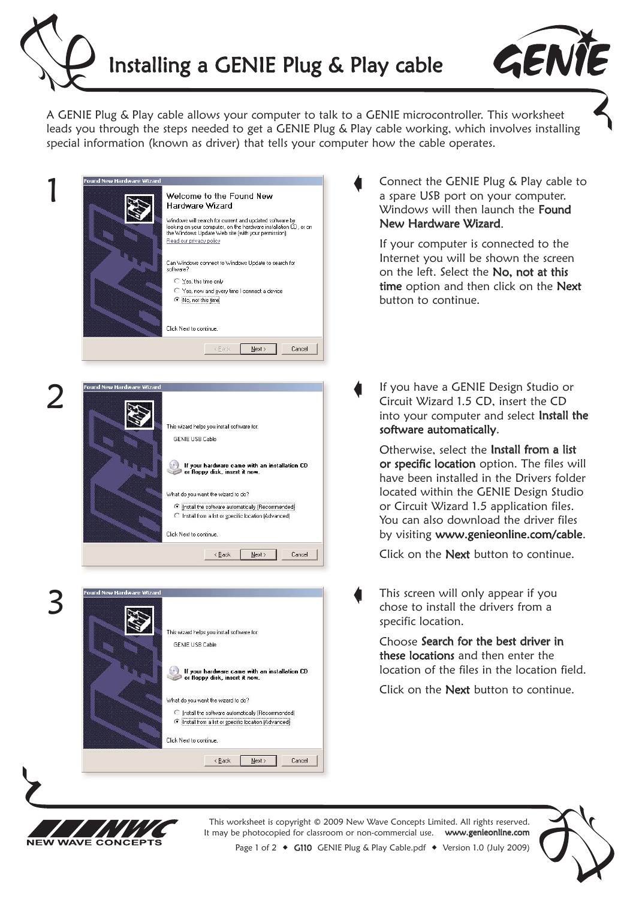



A GENIE Plug & Play cable allows your computer to talk to a GENIE microcontroller. This worksheet leads you through the steps needed to get a GENIE Plug & Play cable working, which involves installing special information (known as driver) that tells your computer how the cable operates.

 $\blacklozenge$ 

 $\blacklozenge$ 

|  | <b>Found New Hardware Wizard</b> |                                                                                                                                                                                                               |
|--|----------------------------------|---------------------------------------------------------------------------------------------------------------------------------------------------------------------------------------------------------------|
|  |                                  | Welcome to the Found New<br>Hardware Wizard                                                                                                                                                                   |
|  |                                  | Windows will search for current and updated software by<br>looking on your computer, on the hardware installation CD, or on<br>the Windows Update Web site (with your permission).<br>Read our privacy policy |
|  |                                  | Can Windows connect to Windows Update to search for<br>software?                                                                                                                                              |
|  |                                  | ○ Yes, this time only                                                                                                                                                                                         |
|  |                                  | C Yes, now and every time I connect a device<br><i>C</i> No, not this time                                                                                                                                    |
|  |                                  | Click Next to continue.                                                                                                                                                                                       |
|  |                                  | < Back<br>Next ><br>Cancel                                                                                                                                                                                    |
|  | Found New Hardware Wizard        |                                                                                                                                                                                                               |
|  |                                  |                                                                                                                                                                                                               |
|  |                                  | This wizard helps you install software for:<br><b>GENIE USB Cable</b>                                                                                                                                         |
|  |                                  | If your hardware came with an installation CD<br>or floppy disk, insert it now.                                                                                                                               |
|  |                                  | What do you want the wizard to do?                                                                                                                                                                            |
|  |                                  | ⊙ [nstall the software automatically (Recommended)<br>C Install from a list or specific location (Advanced)                                                                                                   |
|  |                                  | Click Next to continue.                                                                                                                                                                                       |



 $N$ ext >

Cancel

 $\leq$  Back

Connect the GENIE Plug & Play cable to a spare USB port on your computer. Windows will then launch the Found New Hardware Wizard.

If your computer is connected to the Internet you will be shown the screen on the left. Select the No, not at this time option and then click on the Next button to continue.

If you have a GENIE Design Studio or Circuit Wizard 1.5 CD, insert the CD into your computer and select Install the software automatically.

Otherwise, select the Install from a list or specific location option. The files will have been installed in the Drivers folder located within the GENIE Design Studio or Circuit Wizard 1.5 application files. You can also download the driver files by visiting www.genieonline.com/cable.

Click on the **Next** button to continue.

This screen will only appear if you chose to install the drivers from a specific location.  $\blacklozenge$ 

> Choose Search for the best driver in these locations and then enter the location of the files in the location field.

Click on the Next button to continue.



This worksheet is copyright © 2009 New Wave Concepts Limited. All rights reserved. It may be photocopied for classroom or non-commercial use. www.genieonline.com

Page 1 of 2 • G110 GENIE Plug & Play Cable.pdf • Version 1.0 (July 2009)